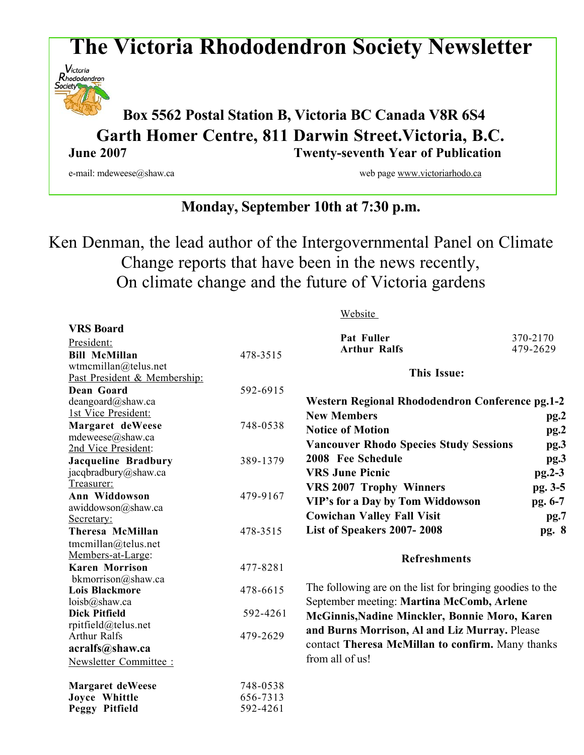# **The Victoria Rhododendron Society Newsletter**



# **Box <sup>5562</sup> Postal Station B, Victoria BC Canada V8R 6S4 Garth Homer Centre, 811 Darwin Street.Victoria, B.C. June 2007 Twenty-seventh Year of Publication**

**VRS Board**

e-mail: mdeweese@shaw.ca web page www.victoriarhodo.ca web page www.victoriarhodo.ca

# **Monday, September 10th at 7:30 p.m.**

Ken Denman, the lead author of the Intergovernmental Panel on Climate Change reports that have been in the news recently, On climate change and the future of Victoria gardens

Website

|                              |          | Pat Fuller                                                | 370-2170 |
|------------------------------|----------|-----------------------------------------------------------|----------|
| President:                   |          | <b>Arthur Ralfs</b>                                       | 479-2629 |
| <b>Bill McMillan</b>         | 478-3515 |                                                           |          |
| wtmcmillan@telus.net         |          | <b>This Issue:</b>                                        |          |
| Past President & Membership: |          |                                                           |          |
| Dean Goard                   | 592-6915 |                                                           |          |
| deangoard@shaw.ca            |          | Western Regional Rhododendron Conference pg.1-2           |          |
| 1st Vice President:          |          | <b>New Members</b>                                        | pg.2     |
| Margaret deWeese             | 748-0538 | <b>Notice of Motion</b>                                   | pg.2     |
| mdeweese@shaw.ca             |          |                                                           |          |
| 2nd Vice President:          |          | <b>Vancouver Rhodo Species Study Sessions</b>             | pg.3     |
| <b>Jacqueline Bradbury</b>   | 389-1379 | 2008 Fee Schedule                                         | pg.3     |
| jacqbradbury@shaw.ca         |          | <b>VRS June Picnic</b>                                    | $pg.2-3$ |
| Treasurer:                   |          | <b>VRS 2007 Trophy Winners</b>                            | pg. 3-5  |
| Ann Widdowson                | 479-9167 | VIP's for a Day by Tom Widdowson                          | pg. 6-7  |
| awiddowson@shaw.ca           |          |                                                           |          |
| Secretary:                   |          | <b>Cowichan Valley Fall Visit</b>                         | pg.7     |
| <b>Theresa McMillan</b>      | 478-3515 | List of Speakers 2007-2008                                | pg. 8    |
| tmcmillan@telus.net          |          |                                                           |          |
| Members-at-Large:            |          | <b>Refreshments</b>                                       |          |
| <b>Karen Morrison</b>        | 477-8281 |                                                           |          |
| bkmorrison@shaw.ca           |          |                                                           |          |
| <b>Lois Blackmore</b>        | 478-6615 | The following are on the list for bringing goodies to the |          |
| $loisb(a)$ shaw.ca           |          | September meeting: Martina McComb, Arlene                 |          |
| <b>Dick Pitfield</b>         | 592-4261 | McGinnis, Nadine Minckler, Bonnie Moro, Karen             |          |
| rpitfield@telus.net          |          | and Burns Morrison, Al and Liz Murray. Please             |          |
| <b>Arthur Ralfs</b>          | 479-2629 |                                                           |          |
| acralfs@shaw.ca              |          | contact Theresa McMillan to confirm. Many thanks          |          |
| Newsletter Committee:        |          | from all of us!                                           |          |
| <b>Margaret deWeese</b>      | 748-0538 |                                                           |          |
| Joyce Whittle                | 656-7313 |                                                           |          |
| Peggy Pitfield               | 592-4261 |                                                           |          |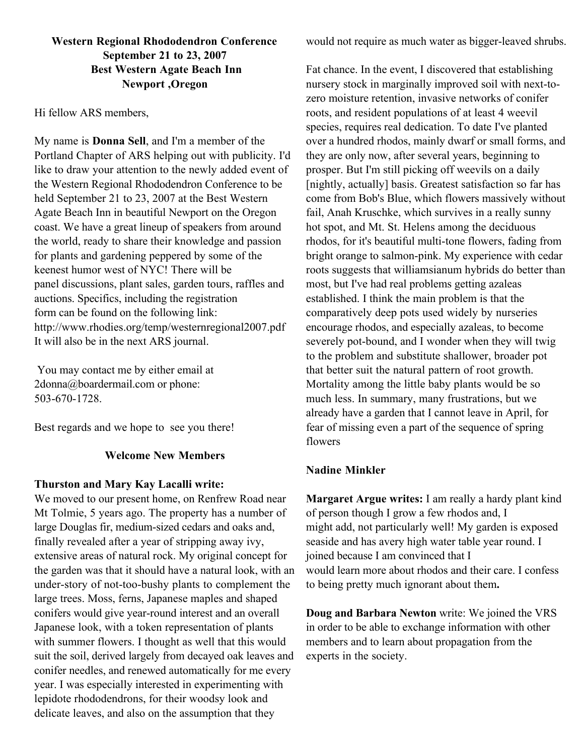## **Western Regional Rhododendron Conference September 21 to 23, 2007 Best Western Agate Beach Inn Newport ,Oregon**

#### Hi fellow ARS members,

My name is **Donna Sell**, and I'm a member of the Portland Chapter of ARS helping out with publicity. I'd like to draw your attention to the newly added event of the Western Regional Rhododendron Conference to be held September 21 to 23, 2007 at the Best Western Agate Beach Inn in beautiful Newport on the Oregon coast. We have a great lineup of speakers from around the world, ready to share their knowledge and passion for plants and gardening peppered by some of the keenest humor west of NYC! There will be panel discussions, plant sales, garden tours, raffles and auctions. Specifics, including the registration form can be found on the following link: http://www.rhodies.org/temp/westernregional2007.pdf It will also be in the next ARS journal.

You may contact me by either email at 2donna@boardermail.com or phone: 503-670-1728.

Best regards and we hope to see you there!

### **Welcome New Members**

#### **Thurston and Mary Kay Lacalli write:**

We moved to our present home, on Renfrew Road near Mt Tolmie, 5 years ago. The property has a number of large Douglas fir, medium-sized cedars and oaks and, finally revealed after a year of stripping away ivy, extensive areas of natural rock. My original concept for the garden was that it should have a natural look, with an under-story of not-too-bushy plants to complement the large trees. Moss, ferns, Japanese maples and shaped conifers would give year-round interest and an overall Japanese look, with a token representation of plants with summer flowers. I thought as well that this would suit the soil, derived largely from decayed oak leaves and conifer needles, and renewed automatically for me every year. I was especially interested in experimenting with lepidote rhododendrons, for their woodsy look and delicate leaves, and also on the assumption that they

would not require as much water as bigger-leaved shrubs.

Fat chance. In the event, I discovered that establishing nursery stock in marginally improved soil with next-tozero moisture retention, invasive networks of conifer roots, and resident populations of at least 4 weevil species, requires real dedication. To date I've planted over a hundred rhodos, mainly dwarf or small forms, and they are only now, after several years, beginning to prosper. But I'm still picking off weevils on a daily [nightly, actually] basis. Greatest satisfaction so far has come from Bob's Blue, which flowers massively without fail, Anah Kruschke, which survives in a really sunny hot spot, and Mt. St. Helens among the deciduous rhodos, for it's beautiful multi-tone flowers, fading from bright orange to salmon-pink. My experience with cedar roots suggests that williamsianum hybrids do better than most, but I've had real problems getting azaleas established. I think the main problem is that the comparatively deep pots used widely by nurseries encourage rhodos, and especially azaleas, to become severely pot-bound, and I wonder when they will twig to the problem and substitute shallower, broader pot that better suit the natural pattern of root growth. Mortality among the little baby plants would be so much less. In summary, many frustrations, but we already have a garden that I cannot leave in April, for fear of missing even a part of the sequence of spring flowers

### **Nadine Minkler**

**Margaret Argue writes:** I am really a hardy plant kind of person though I grow a few rhodos and, I might add, not particularly well! My garden is exposed seaside and has avery high water table year round. I joined because I am convinced that I would learn more about rhodos and their care. I confess to being pretty much ignorant about them**.**

**Doug and Barbara Newton** write: We joined the VRS in order to be able to exchange information with other members and to learn about propagation from the experts in the society.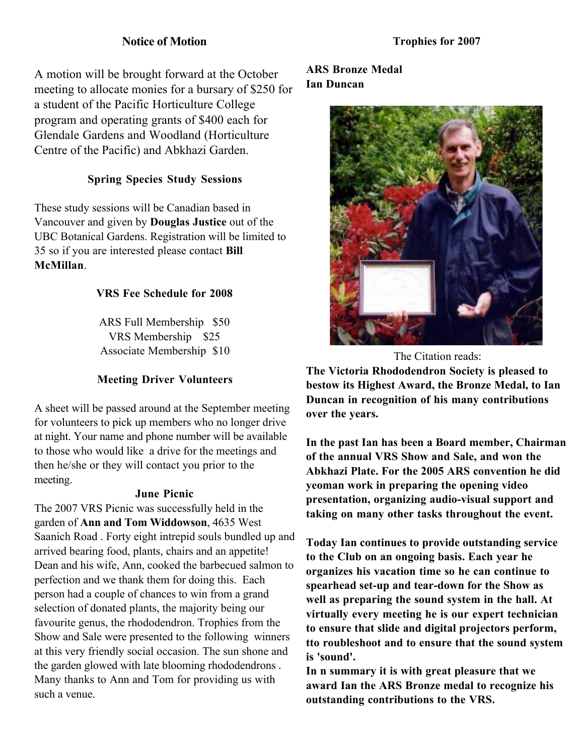# **Notice of Motion**

A motion will be brought forward at the October meeting to allocate monies for a bursary of \$250 for a student of the Pacific Horticulture College program and operating grants of \$400 each for Glendale Gardens and Woodland (Horticulture Centre of the Pacific) and Abkhazi Garden.

# **Spring Species Study Sessions**

These study sessions will be Canadian based in Vancouver and given by **Douglas Justice** out of the UBC Botanical Gardens. Registration will be limited to 35 so if you are interested please contact **Bill McMillan**.

# **VRS Fee Schedule for 2008**

ARS Full Membership \$50 VRS Membership \$25 Associate Membership \$10

### **Meeting Driver Volunteers**

A sheet will be passed around at the September meeting for volunteers to pick up members who no longer drive at night. Your name and phone number will be available to those who would like a drive for the meetings and then he/she or they will contact you prior to the meeting.

#### **June Picnic**

The 2007 VRS Picnic was successfully held in the garden of **Ann and Tom Widdowson**, 4635 West Saanich Road . Forty eight intrepid souls bundled up and arrived bearing food, plants, chairs and an appetite! Dean and his wife, Ann, cooked the barbecued salmon to perfection and we thank them for doing this. Each person had a couple of chances to win from a grand selection of donated plants, the majority being our favourite genus, the rhododendron. Trophies from the Show and Sale were presented to the following winners at this very friendly social occasion. The sun shone and the garden glowed with late blooming rhododendrons . Many thanks to Ann and Tom for providing us with such a venue.

# **ARS Bronze Medal Ian Duncan**



The Citation reads:

**The Victoria Rhododendron Society is pleased to bestow its Highest Award, the Bronze Medal, to Ian Duncan in recognition of his many contributions over the years.**

**In the past Ian has been a Board member, Chairman of the annual VRS Show and Sale, and won the Abkhazi Plate. For the 2005 ARS convention he did yeoman work in preparing the opening video presentation, organizing audio-visual support and taking on many other tasks throughout the event.**

**Today Ian continues to provide outstanding service to the Club on an ongoing basis. Each year he organizes his vacation time so he can continue to spearhead set-up and tear-down for the Show as well as preparing the sound system in the hall. At virtually every meeting he is our expert technician to ensure that slide and digital projectors perform, tto roubleshoot and to ensure that the sound system is 'sound'.**

**In n summary it is with great pleasure that we award Ian the ARS Bronze medal to recognize his outstanding contributions to the VRS.**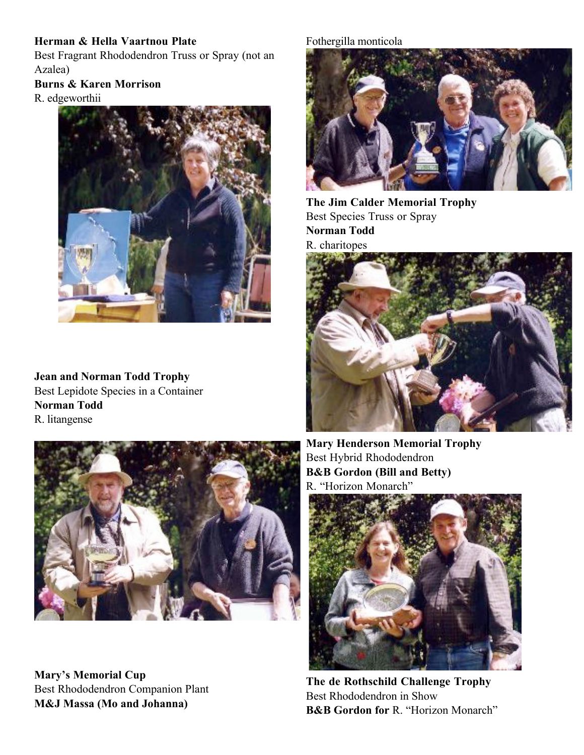# **Herman & Hella Vaartnou Plate**

Best Fragrant Rhododendron Truss or Spray (not an Azalea)

# **Burns & Karen Morrison**

R. edgeworthii



**Jean and Norman Todd Trophy** Best Lepidote Species in a Container **Norman Todd** R. litangense



**Mary's Memorial Cup** Best Rhododendron Companion Plant **M&J Massa (Mo and Johanna)**

# Fothergilla monticola



**The Jim Calder Memorial Trophy** Best Species Truss or Spray **Norman Todd** R. charitopes



**Mary Henderson Memorial Trophy** Best Hybrid Rhododendron **B&B Gordon (Bill and Betty)** R. "Horizon Monarch"



**The de Rothschild Challenge Trophy** Best Rhododendron in Show **B&B Gordon for** R. "Horizon Monarch"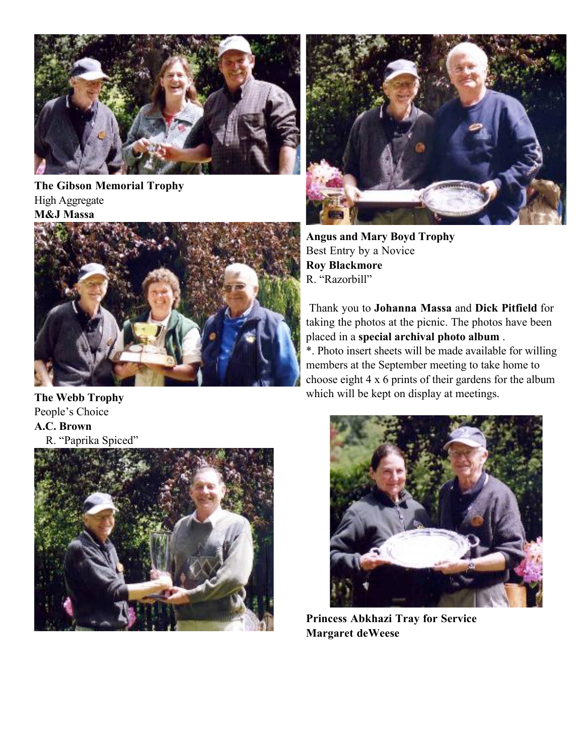

**The Gibson Memorial Trophy** High Aggregate **M&J Massa**



**The Webb Trophy** People's Choice **A.C. Brown** R. "Paprika Spiced"





**Angus and Mary Boyd Trophy** Best Entry by a Novice **Roy Blackmore** R. "Razorbill"

Thank you to **Johanna Massa** and **Dick Pitfield** for taking the photos at the picnic. The photos have been placed in a **special archival photo album** .

\*. Photo insert sheets will be made available for willing members at the September meeting to take home to choose eight 4 x 6 prints of their gardens for the album which will be kept on display at meetings.



**Princess Abkhazi Tray for Service Margaret deWeese**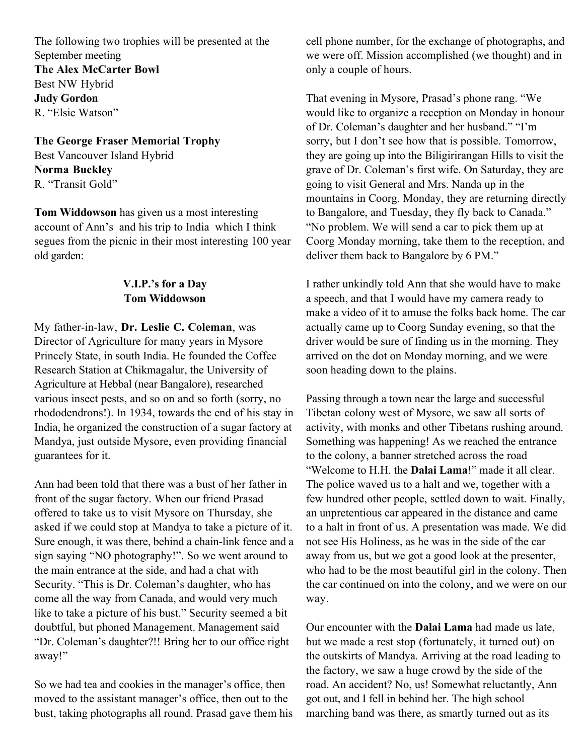The following two trophies will be presented at the September meeting **The Alex McCarter Bowl** Best NW Hybrid **Judy Gordon** R. "Elsie Watson"

**The George Fraser Memorial Trophy** Best Vancouver Island Hybrid **Norma Buckley** R. "Transit Gold"

**Tom Widdowson** has given us a most interesting account of Ann's and his trip to India which I think segues from the picnic in their most interesting 100 year old garden:

# **V.I.P.'s for a Day Tom Widdowson**

My father-in-law, **Dr. Leslie C. Coleman**, was Director of Agriculture for many years in Mysore Princely State, in south India. He founded the Coffee Research Station at Chikmagalur, the University of Agriculture at Hebbal (near Bangalore), researched various insect pests, and so on and so forth (sorry, no rhododendrons!). In 1934, towards the end of his stay in India, he organized the construction of a sugar factory at Mandya, just outside Mysore, even providing financial guarantees for it.

Ann had been told that there was a bust of her father in front of the sugar factory. When our friend Prasad offered to take us to visit Mysore on Thursday, she asked if we could stop at Mandya to take a picture of it. Sure enough, it was there, behind a chain-link fence and a sign saying "NO photography!". So we went around to the main entrance at the side, and had a chat with Security. "This is Dr. Coleman's daughter, who has come all the way from Canada, and would very much like to take a picture of his bust." Security seemed a bit doubtful, but phoned Management. Management said "Dr. Coleman's daughter?!! Bring her to our office right away!"

So we had tea and cookies in the manager's office, then moved to the assistant manager's office, then out to the bust, taking photographs all round. Prasad gave them his cell phone number, for the exchange of photographs, and we were off. Mission accomplished (we thought) and in only a couple of hours.

That evening in Mysore, Prasad's phone rang. "We would like to organize a reception on Monday in honour of Dr. Coleman's daughter and her husband." "I'm sorry, but I don't see how that is possible. Tomorrow, they are going up into the Biligirirangan Hills to visit the grave of Dr. Coleman's first wife. On Saturday, they are going to visit General and Mrs. Nanda up in the mountains in Coorg. Monday, they are returning directly to Bangalore, and Tuesday, they fly back to Canada." "No problem. We will send a car to pick them up at Coorg Monday morning, take them to the reception, and deliver them back to Bangalore by 6 PM."

I rather unkindly told Ann that she would have to make a speech, and that I would have my camera ready to make a video of it to amuse the folks back home. The car actually came up to Coorg Sunday evening, so that the driver would be sure of finding us in the morning. They arrived on the dot on Monday morning, and we were soon heading down to the plains.

Passing through a town near the large and successful Tibetan colony west of Mysore, we saw all sorts of activity, with monks and other Tibetans rushing around. Something was happening! As we reached the entrance to the colony, a banner stretched across the road "Welcome to H.H. the **Dalai Lama**!" made it all clear. The police waved us to a halt and we, together with a few hundred other people, settled down to wait. Finally, an unpretentious car appeared in the distance and came to a halt in front of us. A presentation was made. We did not see His Holiness, as he was in the side of the car away from us, but we got a good look at the presenter, who had to be the most beautiful girl in the colony. Then the car continued on into the colony, and we were on our way.

Our encounter with the **Dalai Lama** had made us late, but we made a rest stop (fortunately, it turned out) on the outskirts of Mandya. Arriving at the road leading to the factory, we saw a huge crowd by the side of the road. An accident? No, us! Somewhat reluctantly, Ann got out, and I fell in behind her. The high school marching band was there, as smartly turned out as its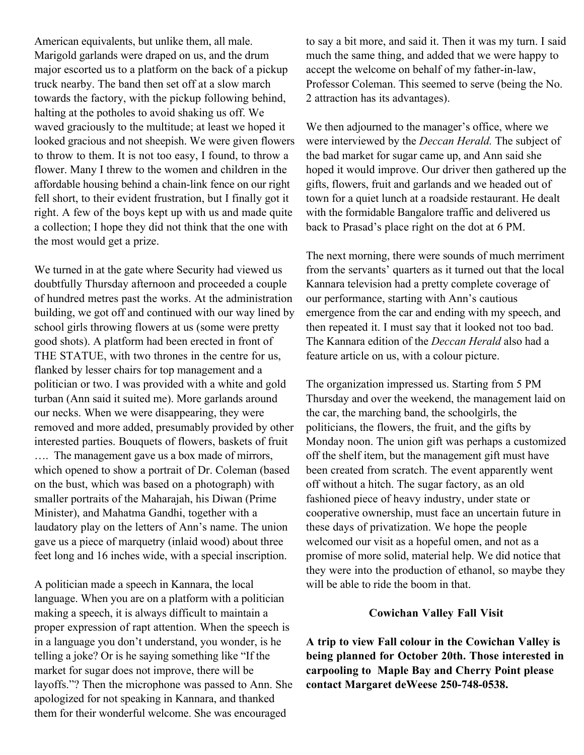American equivalents, but unlike them, all male. Marigold garlands were draped on us, and the drum major escorted us to a platform on the back of a pickup truck nearby. The band then set off at a slow march towards the factory, with the pickup following behind, halting at the potholes to avoid shaking us off. We waved graciously to the multitude; at least we hoped it looked gracious and not sheepish. We were given flowers to throw to them. It is not too easy, I found, to throw a flower. Many I threw to the women and children in the affordable housing behind a chain-link fence on our right fell short, to their evident frustration, but I finally got it right. A few of the boys kept up with us and made quite a collection; I hope they did not think that the one with the most would get a prize.

We turned in at the gate where Security had viewed us doubtfully Thursday afternoon and proceeded a couple of hundred metres past the works. At the administration building, we got off and continued with our way lined by school girls throwing flowers at us (some were pretty good shots). A platform had been erected in front of THE STATUE, with two thrones in the centre for us, flanked by lesser chairs for top management and a politician or two. I was provided with a white and gold turban (Ann said it suited me). More garlands around our necks. When we were disappearing, they were removed and more added, presumably provided by other interested parties. Bouquets of flowers, baskets of fruit …. The management gave us a box made of mirrors, which opened to show a portrait of Dr. Coleman (based on the bust, which was based on a photograph) with smaller portraits of the Maharajah, his Diwan (Prime Minister), and Mahatma Gandhi, together with a laudatory play on the letters of Ann's name. The union gave us a piece of marquetry (inlaid wood) about three feet long and 16 inches wide, with a special inscription.

A politician made a speech in Kannara, the local language. When you are on a platform with a politician making a speech, it is always difficult to maintain a proper expression of rapt attention. When the speech is in a language you don't understand, you wonder, is he telling a joke? Or is he saying something like "If the market for sugar does not improve, there will be layoffs."? Then the microphone was passed to Ann. She apologized for not speaking in Kannara, and thanked them for their wonderful welcome. She was encouraged

to say a bit more, and said it. Then it was my turn. I said much the same thing, and added that we were happy to accept the welcome on behalf of my father-in-law, Professor Coleman. This seemed to serve (being the No. 2 attraction has its advantages).

We then adjourned to the manager's office, where we were interviewed by the *Deccan Herald.* The subject of the bad market for sugar came up, and Ann said she hoped it would improve. Our driver then gathered up the gifts, flowers, fruit and garlands and we headed out of town for a quiet lunch at a roadside restaurant. He dealt with the formidable Bangalore traffic and delivered us back to Prasad's place right on the dot at 6 PM.

The next morning, there were sounds of much merriment from the servants' quarters as it turned out that the local Kannara television had a pretty complete coverage of our performance, starting with Ann's cautious emergence from the car and ending with my speech, and then repeated it. I must say that it looked not too bad. The Kannara edition of the *Deccan Herald* also had a feature article on us, with a colour picture.

The organization impressed us. Starting from 5 PM Thursday and over the weekend, the management laid on the car, the marching band, the schoolgirls, the politicians, the flowers, the fruit, and the gifts by Monday noon. The union gift was perhaps a customized off the shelf item, but the management gift must have been created from scratch. The event apparently went off without a hitch. The sugar factory, as an old fashioned piece of heavy industry, under state or cooperative ownership, must face an uncertain future in these days of privatization. We hope the people welcomed our visit as a hopeful omen, and not as a promise of more solid, material help. We did notice that they were into the production of ethanol, so maybe they will be able to ride the boom in that.

#### **Cowichan Valley Fall Visit**

**A trip to view Fall colour in the Cowichan Valley is being planned for October 20th. Those interested in carpooling to Maple Bay and Cherry Point please contact Margaret deWeese 250-748-0538.**